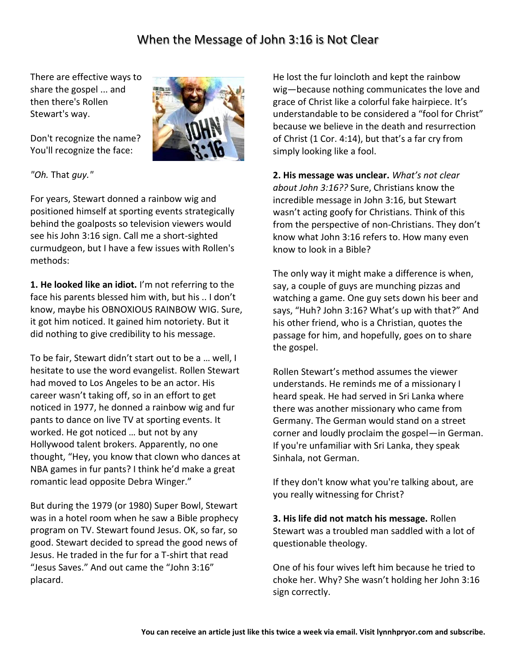## When the Message of John 3:16 is Not Clear

There are effective ways to share the gospel ... and then there's Rollen Stewart's way.



Don't recognize the name? You'll recognize the face:

*"Oh.* That *guy."*

For years, Stewart donned a rainbow wig and positioned himself at sporting events strategically behind the goalposts so television viewers would see his John 3:16 sign. Call me a short-sighted curmudgeon, but I have a few issues with Rollen's methods:

**1. He looked like an idiot.** I'm not referring to the face his parents blessed him with, but his .. I don't know, maybe his OBNOXIOUS RAINBOW WIG. Sure, it got him noticed. It gained him notoriety. But it did nothing to give credibility to his message.

To be fair, Stewart didn't start out to be a … well, I hesitate to use the word evangelist. Rollen Stewart had moved to Los Angeles to be an actor. His career wasn't taking off, so in an effort to get noticed in 1977, he donned a rainbow wig and fur pants to dance on live TV at sporting events. It worked. He got noticed … but not by any Hollywood talent brokers. Apparently, no one thought, "Hey, you know that clown who dances at NBA games in fur pants? I think he'd make a great romantic lead opposite Debra Winger."

But during the 1979 (or 1980) Super Bowl, Stewart was in a hotel room when he saw a Bible prophecy program on TV. Stewart found Jesus. OK, so far, so good. Stewart decided to spread the good news of Jesus. He traded in the fur for a T-shirt that read "Jesus Saves." And out came the "John 3:16" placard.

He lost the fur loincloth and kept the rainbow wig—because nothing communicates the love and grace of Christ like a colorful fake hairpiece. It's understandable to be considered a "fool for Christ" because we believe in the death and resurrection of Christ (1 Cor. 4:14), but that's a far cry from simply looking like a fool.

**2. His message was unclear.** *What's not clear about John 3:16??* Sure, Christians know the incredible message in John 3:16, but Stewart wasn't acting goofy for Christians. Think of this from the perspective of non-Christians. They don't know what John 3:16 refers to. How many even know to look in a Bible?

The only way it might make a difference is when, say, a couple of guys are munching pizzas and watching a game. One guy sets down his beer and says, "Huh? John 3:16? What's up with that?" And his other friend, who is a Christian, quotes the passage for him, and hopefully, goes on to share the gospel.

Rollen Stewart's method assumes the viewer understands. He reminds me of a missionary I heard speak. He had served in Sri Lanka where there was another missionary who came from Germany. The German would stand on a street corner and loudly proclaim the gospel—in German. If you're unfamiliar with Sri Lanka, they speak Sinhala, not German.

If they don't know what you're talking about, are you really witnessing for Christ?

**3. His life did not match his message.** Rollen Stewart was a troubled man saddled with a lot of questionable theology.

One of his four wives left him because he tried to choke her. Why? She wasn't holding her John 3:16 sign correctly.